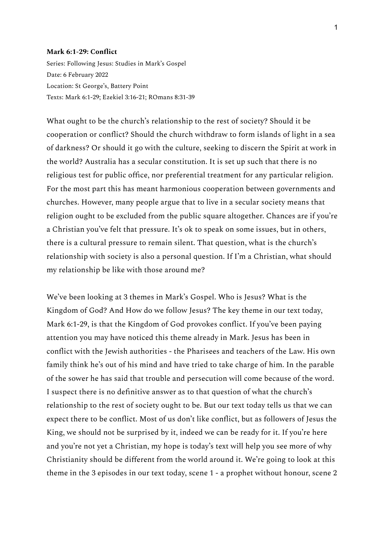## **Mark 6:1-29: Conflict**

Series: Following Jesus: Studies in Mark's Gospel Date: 6 February 2022 Location: St George's, Battery Point Texts: Mark 6:1-29; Ezekiel 3:16-21; ROmans 8:31-39

What ought to be the church's relationship to the rest of society? Should it be cooperation or conflict? Should the church withdraw to form islands of light in a sea of darkness? Or should it go with the culture, seeking to discern the Spirit at work in the world? Australia has a secular constitution. It is set up such that there is no religious test for public office, nor preferential treatment for any particular religion. For the most part this has meant harmonious cooperation between governments and churches. However, many people argue that to live in a secular society means that religion ought to be excluded from the public square altogether. Chances are if you're a Christian you've felt that pressure. It's ok to speak on some issues, but in others, there is a cultural pressure to remain silent. That question, what is the church's relationship with society is also a personal question. If I'm a Christian, what should my relationship be like with those around me?

We've been looking at 3 themes in Mark's Gospel. Who is Jesus? What is the Kingdom of God? And How do we follow Jesus? The key theme in our text today, Mark 6:1-29, is that the Kingdom of God provokes conflict. If you've been paying attention you may have noticed this theme already in Mark. Jesus has been in conflict with the Jewish authorities - the Pharisees and teachers of the Law. His own family think he's out of his mind and have tried to take charge of him. In the parable of the sower he has said that trouble and persecution will come because of the word. I suspect there is no definitive answer as to that question of what the church's relationship to the rest of society ought to be. But our text today tells us that we can expect there to be conflict. Most of us don't like conflict, but as followers of Jesus the King, we should not be surprised by it, indeed we can be ready for it. If you're here and you're not yet a Christian, my hope is today's text will help you see more of why Christianity should be different from the world around it. We're going to look at this theme in the 3 episodes in our text today, scene 1 - a prophet without honour, scene 2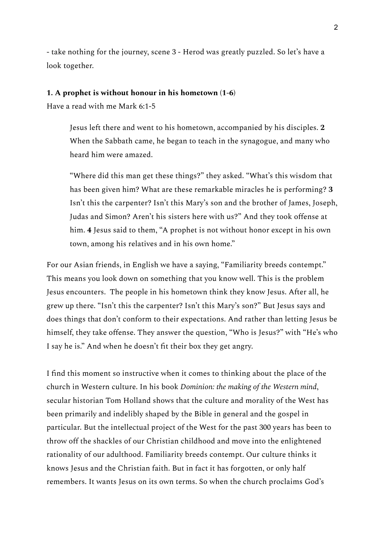- take nothing for the journey, scene 3 - Herod was greatly puzzled. So let's have a look together.

## **1. A prophet is without honour in his hometown (1-6)**

Have a read with me Mark 6:1-5

Jesus left there and went to his hometown, accompanied by his disciples. **2** When the Sabbath came, he began to teach in the synagogue, and many who heard him were amazed.

"Where did this man get these things?" they asked. "What's this wisdom that has been given him? What are these remarkable miracles he is performing? **3** Isn't this the carpenter? Isn't this Mary's son and the brother of James, Joseph, Judas and Simon? Aren't his sisters here with us?" And they took offense at him. **4** Jesus said to them, "A prophet is not without honor except in his own town, among his relatives and in his own home."

For our Asian friends, in English we have a saying, "Familiarity breeds contempt." This means you look down on something that you know well. This is the problem Jesus encounters. The people in his hometown think they know Jesus. After all, he grew up there. "Isn't this the carpenter? Isn't this Mary's son?" But Jesus says and does things that don't conform to their expectations. And rather than letting Jesus be himself, they take offense. They answer the question, "Who is Jesus?" with "He's who I say he is." And when he doesn't fit their box they get angry.

I find this moment so instructive when it comes to thinking about the place of the church in Western culture. In his book *Dominion: the making of the Western mind*, secular historian Tom Holland shows that the culture and morality of the West has been primarily and indelibly shaped by the Bible in general and the gospel in particular. But the intellectual project of the West for the past 300 years has been to throw off the shackles of our Christian childhood and move into the enlightened rationality of our adulthood. Familiarity breeds contempt. Our culture thinks it knows Jesus and the Christian faith. But in fact it has forgotten, or only half remembers. It wants Jesus on its own terms. So when the church proclaims God's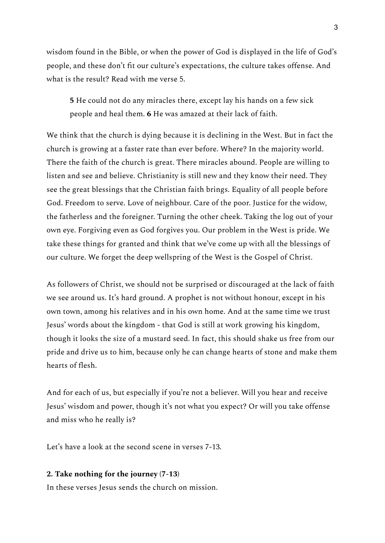wisdom found in the Bible, or when the power of God is displayed in the life of God's people, and these don't fit our culture's expectations, the culture takes offense. And what is the result? Read with me verse 5.

**5** He could not do any miracles there, except lay his hands on a few sick people and heal them. **6** He was amazed at their lack of faith.

We think that the church is dying because it is declining in the West. But in fact the church is growing at a faster rate than ever before. Where? In the majority world. There the faith of the church is great. There miracles abound. People are willing to listen and see and believe. Christianity is still new and they know their need. They see the great blessings that the Christian faith brings. Equality of all people before God. Freedom to serve. Love of neighbour. Care of the poor. Justice for the widow, the fatherless and the foreigner. Turning the other cheek. Taking the log out of your own eye. Forgiving even as God forgives you. Our problem in the West is pride. We take these things for granted and think that we've come up with all the blessings of our culture. We forget the deep wellspring of the West is the Gospel of Christ.

As followers of Christ, we should not be surprised or discouraged at the lack of faith we see around us. It's hard ground. A prophet is not without honour, except in his own town, among his relatives and in his own home. And at the same time we trust Jesus' words about the kingdom - that God is still at work growing his kingdom, though it looks the size of a mustard seed. In fact, this should shake us free from our pride and drive us to him, because only he can change hearts of stone and make them hearts of flesh.

And for each of us, but especially if you're not a believer. Will you hear and receive Jesus' wisdom and power, though it's not what you expect? Or will you take offense and miss who he really is?

Let's have a look at the second scene in verses 7-13.

## **2. Take nothing for the journey (7-13)**

In these verses Jesus sends the church on mission.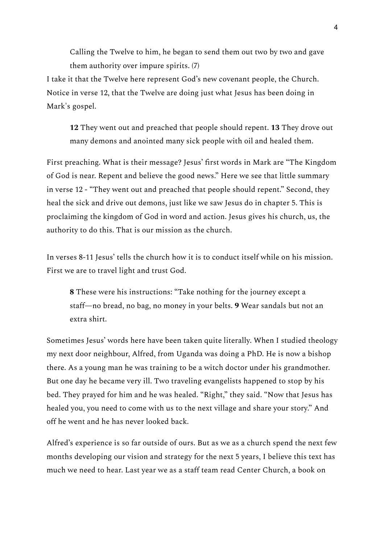Calling the Twelve to him, he began to send them out two by two and gave them authority over impure spirits. (7)

I take it that the Twelve here represent God's new covenant people, the Church. Notice in verse 12, that the Twelve are doing just what Jesus has been doing in Mark's gospel.

**12** They went out and preached that people should repent. **13** They drove out many demons and anointed many sick people with oil and healed them.

First preaching. What is their message? Jesus' first words in Mark are "The Kingdom of God is near. Repent and believe the good news." Here we see that little summary in verse 12 - "They went out and preached that people should repent." Second, they heal the sick and drive out demons, just like we saw Jesus do in chapter 5. This is proclaiming the kingdom of God in word and action. Jesus gives his church, us, the authority to do this. That is our mission as the church.

In verses 8-11 Jesus' tells the church how it is to conduct itself while on his mission. First we are to travel light and trust God.

**8** These were his instructions: "Take nothing for the journey except a staff—no bread, no bag, no money in your belts. **9** Wear sandals but not an extra shirt.

Sometimes Jesus' words here have been taken quite literally. When I studied theology my next door neighbour, Alfred, from Uganda was doing a PhD. He is now a bishop there. As a young man he was training to be a witch doctor under his grandmother. But one day he became very ill. Two traveling evangelists happened to stop by his bed. They prayed for him and he was healed. "Right," they said. "Now that Jesus has healed you, you need to come with us to the next village and share your story." And off he went and he has never looked back.

Alfred's experience is so far outside of ours. But as we as a church spend the next few months developing our vision and strategy for the next 5 years, I believe this text has much we need to hear. Last year we as a staff team read Center Church, a book on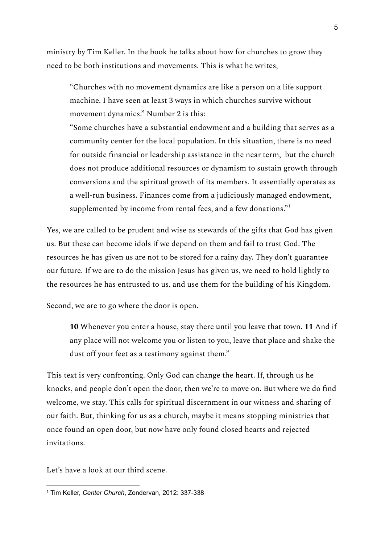ministry by Tim Keller. In the book he talks about how for churches to grow they need to be both institutions and movements. This is what he writes,

"Churches with no movement dynamics are like a person on a life support machine. I have seen at least 3 ways in which churches survive without movement dynamics." Number 2 is this:

"Some churches have a substantial endowment and a building that serves as a community center for the local population. In this situation, there is no need for outside financial or leadership assistance in the near term, but the church does not produce additional resources or dynamism to sustain growth through conversions and the spiritual growth of its members. It essentially operates as a well-run business. Finances come from a judiciously managed endowment, supplemented by income from rental fees, and a few donations." $^{\rm n}$ 

Yes, we are called to be prudent and wise as stewards of the gifts that God has given us. But these can become idols if we depend on them and fail to trust God. The resources he has given us are not to be stored for a rainy day. They don't guarantee our future. If we are to do the mission Jesus has given us, we need to hold lightly to the resources he has entrusted to us, and use them for the building of his Kingdom.

Second, we are to go where the door is open.

**10** Whenever you enter a house, stay there until you leave that town. **11** And if any place will not welcome you or listen to you, leave that place and shake the dust off your feet as a testimony against them."

This text is very confronting. Only God can change the heart. If, through us he knocks, and people don't open the door, then we're to move on. But where we do find welcome, we stay. This calls for spiritual discernment in our witness and sharing of our faith. But, thinking for us as a church, maybe it means stopping ministries that once found an open door, but now have only found closed hearts and rejected invitations.

Let's have a look at our third scene.

<sup>1</sup> Tim Keller, *Center Church*, Zondervan, 2012: 337-338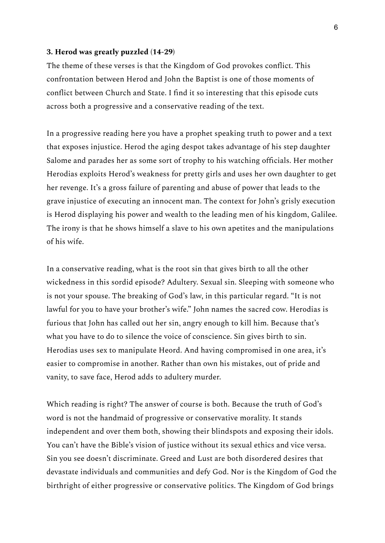## **3. Herod was greatly puzzled (14-29)**

The theme of these verses is that the Kingdom of God provokes conflict. This confrontation between Herod and John the Baptist is one of those moments of conflict between Church and State. I find it so interesting that this episode cuts across both a progressive and a conservative reading of the text.

In a progressive reading here you have a prophet speaking truth to power and a text that exposes injustice. Herod the aging despot takes advantage of his step daughter Salome and parades her as some sort of trophy to his watching officials. Her mother Herodias exploits Herod's weakness for pretty girls and uses her own daughter to get her revenge. It's a gross failure of parenting and abuse of power that leads to the grave injustice of executing an innocent man. The context for John's grisly execution is Herod displaying his power and wealth to the leading men of his kingdom, Galilee. The irony is that he shows himself a slave to his own apetites and the manipulations of his wife.

In a conservative reading, what is the root sin that gives birth to all the other wickedness in this sordid episode? Adultery. Sexual sin. Sleeping with someone who is not your spouse. The breaking of God's law, in this particular regard. "It is not lawful for you to have your brother's wife." John names the sacred cow. Herodias is furious that John has called out her sin, angry enough to kill him. Because that's what you have to do to silence the voice of conscience. Sin gives birth to sin. Herodias uses sex to manipulate Heord. And having compromised in one area, it's easier to compromise in another. Rather than own his mistakes, out of pride and vanity, to save face, Herod adds to adultery murder.

Which reading is right? The answer of course is both. Because the truth of God's word is not the handmaid of progressive or conservative morality. It stands independent and over them both, showing their blindspots and exposing their idols. You can't have the Bible's vision of justice without its sexual ethics and vice versa. Sin you see doesn't discriminate. Greed and Lust are both disordered desires that devastate individuals and communities and defy God. Nor is the Kingdom of God the birthright of either progressive or conservative politics. The Kingdom of God brings